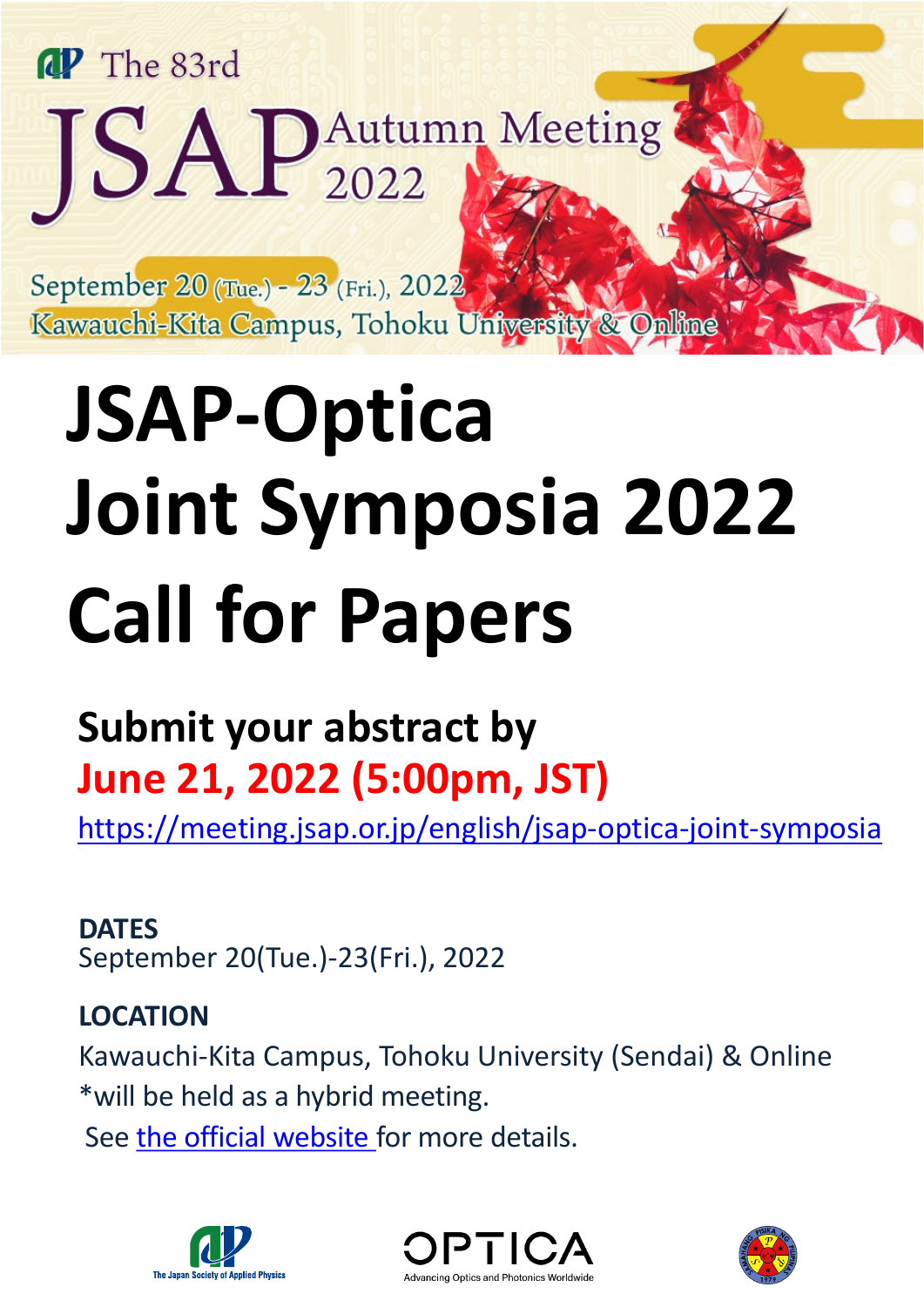# **aP** The 83rd JSAP Autumn Meeting

September 20 (Tue.) - 23 (Fri.), 2022 Kawauchi-Kita Campus, Tohoku University & Online

# **JSAP-Optica Joint Symposia 2022 Call for Papers**

# **Submit your abstract by June 21, 2022 (5:00pm, JST)**

[https://meeting.jsap.or.jp/english/jsap-optica-joint-symposia](https://meeting.jsap.or.jp/english/jsap-osa-joint-symposia)

**DATES** September 20(Tue.)-23(Fri.), 2022

## **LOCATION**

Kawauchi-Kita Campus, Tohoku University (Sendai) & Online \*will be held as a hybrid meeting.

See the official [website](https://meeting.jsap.or.jp/english/operationpolicy) for more details.





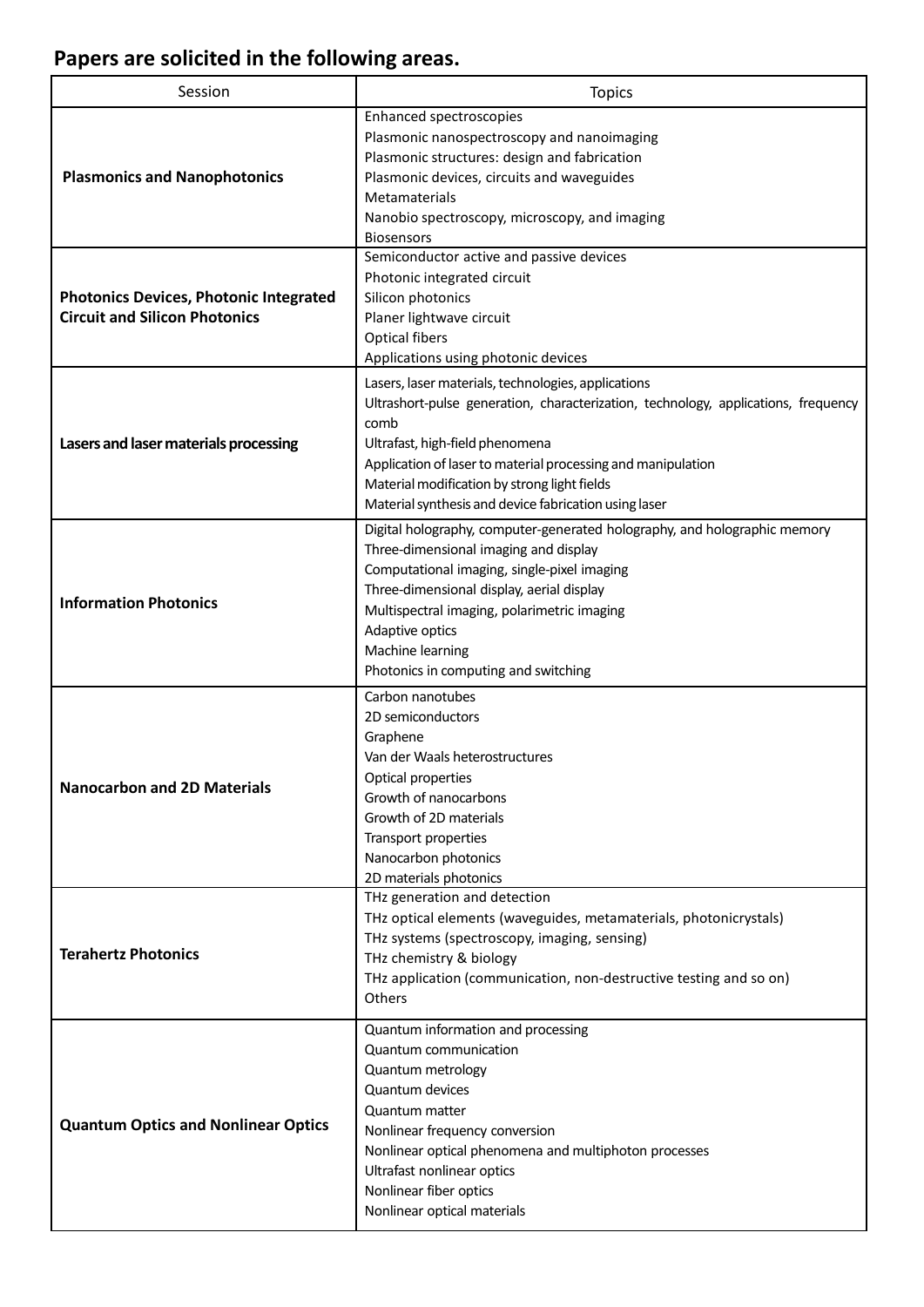### **Papers are solicited in the following areas.**

| Session                                                                               | <b>Topics</b>                                                                                                                                                                                                                                                                                                                                                 |  |
|---------------------------------------------------------------------------------------|---------------------------------------------------------------------------------------------------------------------------------------------------------------------------------------------------------------------------------------------------------------------------------------------------------------------------------------------------------------|--|
| <b>Plasmonics and Nanophotonics</b>                                                   | <b>Enhanced spectroscopies</b><br>Plasmonic nanospectroscopy and nanoimaging<br>Plasmonic structures: design and fabrication<br>Plasmonic devices, circuits and waveguides<br>Metamaterials<br>Nanobio spectroscopy, microscopy, and imaging<br><b>Biosensors</b>                                                                                             |  |
| <b>Photonics Devices, Photonic Integrated</b><br><b>Circuit and Silicon Photonics</b> | Semiconductor active and passive devices<br>Photonic integrated circuit<br>Silicon photonics<br>Planer lightwave circuit<br><b>Optical fibers</b><br>Applications using photonic devices                                                                                                                                                                      |  |
| Lasers and laser materials processing                                                 | Lasers, laser materials, technologies, applications<br>Ultrashort-pulse generation, characterization, technology, applications, frequency<br>comb<br>Ultrafast, high-field phenomena<br>Application of laser to material processing and manipulation<br>Material modification by strong light fields<br>Material synthesis and device fabrication using laser |  |
| <b>Information Photonics</b>                                                          | Digital holography, computer-generated holography, and holographic memory<br>Three-dimensional imaging and display<br>Computational imaging, single-pixel imaging<br>Three-dimensional display, aerial display<br>Multispectral imaging, polarimetric imaging<br>Adaptive optics<br>Machine learning<br>Photonics in computing and switching                  |  |
| <b>Nanocarbon and 2D Materials</b>                                                    | Carbon nanotubes<br>2D semiconductors<br>Graphene<br>Van der Waals heterostructures<br>Optical properties<br>Growth of nanocarbons<br>Growth of 2D materials<br>Transport properties<br>Nanocarbon photonics<br>2D materials photonics                                                                                                                        |  |
| <b>Terahertz Photonics</b>                                                            | THz generation and detection<br>THz optical elements (waveguides, metamaterials, photonicrystals)<br>THz systems (spectroscopy, imaging, sensing)<br>THz chemistry & biology<br>THz application (communication, non-destructive testing and so on)<br>Others                                                                                                  |  |
| <b>Quantum Optics and Nonlinear Optics</b>                                            | Quantum information and processing<br>Quantum communication<br>Quantum metrology<br>Quantum devices<br>Quantum matter<br>Nonlinear frequency conversion<br>Nonlinear optical phenomena and multiphoton processes<br>Ultrafast nonlinear optics<br>Nonlinear fiber optics<br>Nonlinear optical materials                                                       |  |